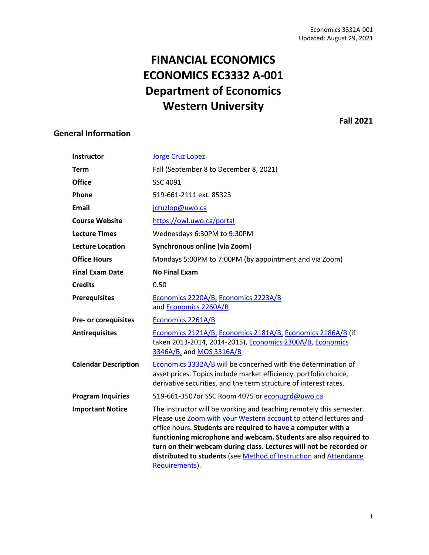# **FINANCIAL ECONOMICS ECONOMICS EC3332 A-001 Department of Economics Western University**

<span id="page-0-0"></span>**General Information**

**Fall 2021**

| <b>Instructor</b>           | <b>Jorge Cruz Lopez</b>                                                                                                                                                                                                                                                                                                                                                                                                                    |  |
|-----------------------------|--------------------------------------------------------------------------------------------------------------------------------------------------------------------------------------------------------------------------------------------------------------------------------------------------------------------------------------------------------------------------------------------------------------------------------------------|--|
| <b>Term</b>                 | Fall (September 8 to December 8, 2021)                                                                                                                                                                                                                                                                                                                                                                                                     |  |
| <b>Office</b>               | SSC 4091                                                                                                                                                                                                                                                                                                                                                                                                                                   |  |
| Phone                       | 519-661-2111 ext. 85323                                                                                                                                                                                                                                                                                                                                                                                                                    |  |
| <b>Email</b>                | jcruzlop@uwo.ca                                                                                                                                                                                                                                                                                                                                                                                                                            |  |
| <b>Course Website</b>       | https://owl.uwo.ca/portal                                                                                                                                                                                                                                                                                                                                                                                                                  |  |
| <b>Lecture Times</b>        | Wednesdays 6:30PM to 9:30PM                                                                                                                                                                                                                                                                                                                                                                                                                |  |
| <b>Lecture Location</b>     | Synchronous online (via Zoom)                                                                                                                                                                                                                                                                                                                                                                                                              |  |
| <b>Office Hours</b>         | Mondays 5:00PM to 7:00PM (by appointment and via Zoom)                                                                                                                                                                                                                                                                                                                                                                                     |  |
| <b>Final Exam Date</b>      | <b>No Final Exam</b>                                                                                                                                                                                                                                                                                                                                                                                                                       |  |
| <b>Credits</b>              | 0.50                                                                                                                                                                                                                                                                                                                                                                                                                                       |  |
| <b>Prerequisites</b>        | Economics 2220A/B, Economics 2223A/B<br>and Economics 2260A/B                                                                                                                                                                                                                                                                                                                                                                              |  |
| Pre- or corequisites        | Economics 2261A/B                                                                                                                                                                                                                                                                                                                                                                                                                          |  |
| <b>Antirequisites</b>       | Economics 2121A/B, Economics 2181A/B, Economics 2186A/B (if<br>taken 2013-2014, 2014-2015), Economics 2300A/B, Economics<br>3346A/B, and MOS 3316A/B                                                                                                                                                                                                                                                                                       |  |
| <b>Calendar Description</b> | Economics 3332A/B will be concerned with the determination of<br>asset prices. Topics include market efficiency, portfolio choice,<br>derivative securities, and the term structure of interest rates.                                                                                                                                                                                                                                     |  |
| <b>Program Inquiries</b>    | 519-661-3507or SSC Room 4075 or econugrd@uwo.ca                                                                                                                                                                                                                                                                                                                                                                                            |  |
| <b>Important Notice</b>     | The instructor will be working and teaching remotely this semester.<br>Please use Zoom with your Western account to attend lectures and<br>office hours. Students are required to have a computer with a<br>functioning microphone and webcam. Students are also required to<br>turn on their webcam during class. Lectures will not be recorded or<br>distributed to students (see Method of Instruction and Attendance<br>Requirements). |  |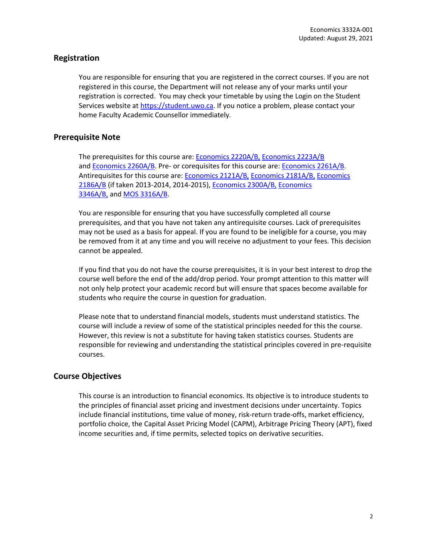# **Registration**

You are responsible for ensuring that you are registered in the correct courses. If you are not registered in this course, the Department will not release any of your marks until your registration is corrected. You may check your timetable by using the Login on the Student Services website at [https://student.uwo.ca.](https://student.uwo.ca/) If you notice a problem, please contact your home Faculty Academic Counsellor immediately.

# **Prerequisite Note**

The prerequisites for this course are[: Economics 2220A/B,](http://www.westerncalendar.uwo.ca/Courses.cfm?CourseAcadCalendarID=MAIN_011251_1&SelectedCalendar=Live&ArchiveID=) [Economics 2223A/B](http://www.westerncalendar.uwo.ca/Courses.cfm?CourseAcadCalendarID=MAIN_012276_1&SelectedCalendar=Live&ArchiveID=) and [Economics 2260A/B.](http://www.westerncalendar.uwo.ca/Courses.cfm?CourseAcadCalendarID=MAIN_005533_1&SelectedCalendar=Live&ArchiveID=) Pre- or corequisites for this course are: [Economics 2261A/B.](http://www.westerncalendar.uwo.ca/Courses.cfm?CourseAcadCalendarID=MAIN_002978_1&SelectedCalendar=Live&ArchiveID=) Antirequisites for this course are[: Economics 2121A/B,](https://www.westerncalendar.uwo.ca/Courses.cfm?CourseAcadCalendarID=HURON_014956_1&SelectedCalendar=Live&ArchiveID=) [Economics 2181A/B,](https://www.westerncalendar.uwo.ca/Courses.cfm?CourseAcadCalendarID=MAIN_026777_1&SelectedCalendar=Live&ArchiveID=) [Economics](https://www.westerncalendar.uwo.ca/Courses.cfm?CourseAcadCalendarID=MAIN_005730_1&SelectedCalendar=Live&ArchiveID=)  [2186A/B](https://www.westerncalendar.uwo.ca/Courses.cfm?CourseAcadCalendarID=MAIN_005730_1&SelectedCalendar=Live&ArchiveID=) (if taken 2013-2014, 2014-2015), [Economics 2300A/B,](https://www.westerncalendar.uwo.ca/Courses.cfm?CourseAcadCalendarID=KINGS_022920_1&SelectedCalendar=Live&ArchiveID=) [Economics](https://www.westerncalendar.uwo.ca/Courses.cfm?CourseAcadCalendarID=HURON_007862_1&SelectedCalendar=Live&ArchiveID=)  [3346A/B,](https://www.westerncalendar.uwo.ca/Courses.cfm?CourseAcadCalendarID=HURON_007862_1&SelectedCalendar=Live&ArchiveID=) and [MOS 3316A/B.](https://www.westerncalendar.uwo.ca/Courses.cfm?CourseAcadCalendarID=HURON_023793_1&SelectedCalendar=Live&ArchiveID=)

You are responsible for ensuring that you have successfully completed all course prerequisites, and that you have not taken any antirequisite courses. Lack of prerequisites may not be used as a basis for appeal. If you are found to be ineligible for a course, you may be removed from it at any time and you will receive no adjustment to your fees. This decision cannot be appealed.

If you find that you do not have the course prerequisites, it is in your best interest to drop the course well before the end of the add/drop period. Your prompt attention to this matter will not only help protect your academic record but will ensure that spaces become available for students who require the course in question for graduation.

Please note that to understand financial models, students must understand statistics. The course will include a review of some of the statistical principles needed for this the course. However, this review is not a substitute for having taken statistics courses. Students are responsible for reviewing and understanding the statistical principles covered in pre-requisite courses.

#### **Course Objectives**

This course is an introduction to financial economics. Its objective is to introduce students to the principles of financial asset pricing and investment decisions under uncertainty. Topics include financial institutions, time value of money, risk-return trade-offs, market efficiency, portfolio choice, the Capital Asset Pricing Model (CAPM), Arbitrage Pricing Theory (APT), fixed income securities and, if time permits, selected topics on derivative securities.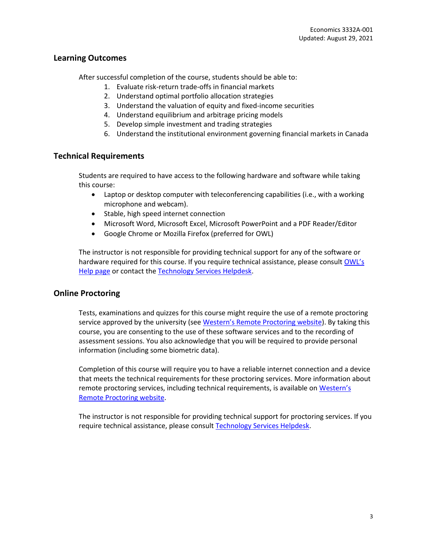# **Learning Outcomes**

After successful completion of the course, students should be able to:

- 1. Evaluate risk-return trade-offs in financial markets
- 2. Understand optimal portfolio allocation strategies
- 3. Understand the valuation of equity and fixed-income securities
- 4. Understand equilibrium and arbitrage pricing models
- 5. Develop simple investment and trading strategies
- 6. Understand the institutional environment governing financial markets in Canada

# <span id="page-2-0"></span>**Technical Requirements**

Students are required to have access to the following hardware and software while taking this course:

- Laptop or desktop computer with teleconferencing capabilities (i.e., with a working microphone and webcam).
- Stable, high speed internet connection
- Microsoft Word, Microsoft Excel, Microsoft PowerPoint and a PDF Reader/Editor
- Google Chrome or Mozilla Firefox (preferred for OWL)

The instructor is not responsible for providing technical support for any of the software or hardware required for this course. If you require technical assistance, please consult OWL's [Help page](https://owlhelp.uwo.ca/) or contact th[e Technology Services Helpdesk.](https://wts.uwo.ca/about-wts/contact.html)

# **Online Proctoring**

Tests, examinations and quizzes for this course might require the use of a remote proctoring service approved by the university (see [Western's Remote Proctoring website](https://remoteproctoring.uwo.ca/)). By taking this course, you are consenting to the use of these software services and to the recording of assessment sessions. You also acknowledge that you will be required to provide personal information (including some biometric data).

Completion of this course will require you to have a reliable internet connection and a device that meets the technical requirements for these proctoring services. More information about remote proctoring services, including technical requirements, is available on [Western's](https://remoteproctoring.uwo.ca/)  [Remote Proctoring website.](https://remoteproctoring.uwo.ca/)

The instructor is not responsible for providing technical support for proctoring services. If you require technical assistance, please consul[t Technology Services Helpdesk.](https://wts.uwo.ca/about-wts/contact.html)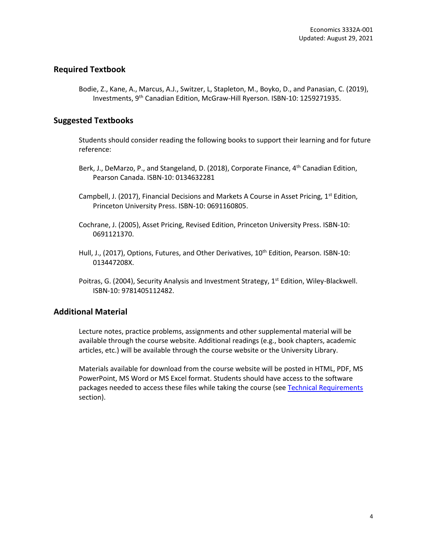# **Required Textbook**

Bodie, Z., Kane, A., Marcus, A.J., Switzer, L, Stapleton, M., Boyko, D., and Panasian, C. (2019), Investments, 9th Canadian Edition, McGraw-Hill Ryerson. ISBN-10: 1259271935.

# **Suggested Textbooks**

Students should consider reading the following books to support their learning and for future reference:

- Berk, J., DeMarzo, P., and Stangeland, D. (2018), Corporate Finance, 4<sup>th</sup> Canadian Edition, Pearson Canada. ISBN-10: 0134632281
- Campbell, J. (2017), Financial Decisions and Markets A Course in Asset Pricing, 1<sup>st</sup> Edition, Princeton University Press. ISBN-10: 0691160805.
- Cochrane, J. (2005), Asset Pricing, Revised Edition, Princeton University Press. ISBN-10: 0691121370.
- Hull, J., (2017), Options, Futures, and Other Derivatives, 10<sup>th</sup> Edition, Pearson. ISBN-10: 013447208X.
- Poitras, G. (2004), Security Analysis and Investment Strategy, 1<sup>st</sup> Edition, Wiley-Blackwell. ISBN-10: 9781405112482.

# **Additional Material**

Lecture notes, practice problems, assignments and other supplemental material will be available through the course website. Additional readings (e.g., book chapters, academic articles, etc.) will be available through the course website or the University Library.

Materials available for download from the course website will be posted in HTML, PDF, MS PowerPoint, MS Word or MS Excel format. Students should have access to the software packages needed to access these files while taking the course (se[e Technical Requirements](#page-2-0) section).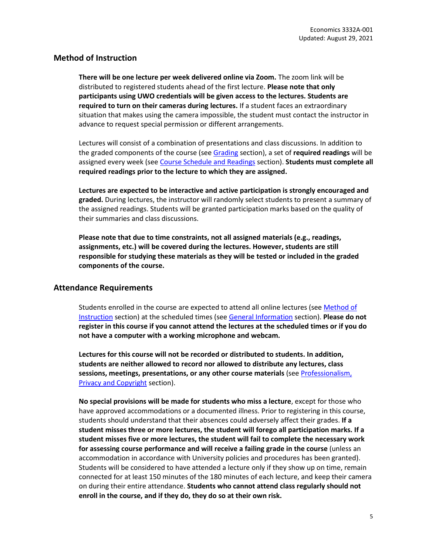# <span id="page-4-0"></span>**Method of Instruction**

**There will be one lecture per week delivered online via Zoom.** The zoom link will be distributed to registered students ahead of the first lecture. **Please note that only participants using UWO credentials will be given access to the lectures. Students are required to turn on their cameras during lectures.** If a student faces an extraordinary situation that makes using the camera impossible, the student must contact the instructor in advance to request special permission or different arrangements.

Lectures will consist of a combination of presentations and class discussions. In addition to the graded components of the course (se[e Grading](#page-6-0) section), a set of **required readings** will be assigned every week (see [Course Schedule and Readings](#page-12-0) section). **Students must complete all required readings prior to the lecture to which they are assigned.**

**Lectures are expected to be interactive and active participation is strongly encouraged and graded.** During lectures, the instructor will randomly select students to present a summary of the assigned readings. Students will be granted participation marks based on the quality of their summaries and class discussions.

**Please note that due to time constraints, not all assigned materials (e.g., readings, assignments, etc.) will be covered during the lectures. However, students are still responsible for studying these materials as they will be tested or included in the graded components of the course.**

# <span id="page-4-1"></span>**Attendance Requirements**

Students enrolled in the course are expected to attend all online lectures (see [Method of](#page-4-0)  [Instruction](#page-4-0) section) at the scheduled times (see [General Information](#page-0-0) section). **Please do not register in this course if you cannot attend the lectures at the scheduled times or if you do not have a computer with a working microphone and webcam.** 

**Lectures for this course will not be recorded or distributed to students. In addition, students are neither allowed to record nor allowed to distribute any lectures, class sessions, meetings, presentations, or any other course materials** (se[e Professionalism,](#page-10-0)  [Privacy and Copyright](#page-10-0) section).

**No special provisions will be made for students who miss a lecture**, except for those who have approved accommodations or a documented illness. Prior to registering in this course, students should understand that their absences could adversely affect their grades. **If a student misses three or more lectures, the student will forego all participation marks. If a student misses five or more lectures, the student will fail to complete the necessary work for assessing course performance and will receive a failing grade in the course** (unless an accommodation in accordance with University policies and procedures has been granted). Students will be considered to have attended a lecture only if they show up on time, remain connected for at least 150 minutes of the 180 minutes of each lecture, and keep their camera on during their entire attendance. **Students who cannot attend class regularly should not enroll in the course, and if they do, they do so at their own risk.**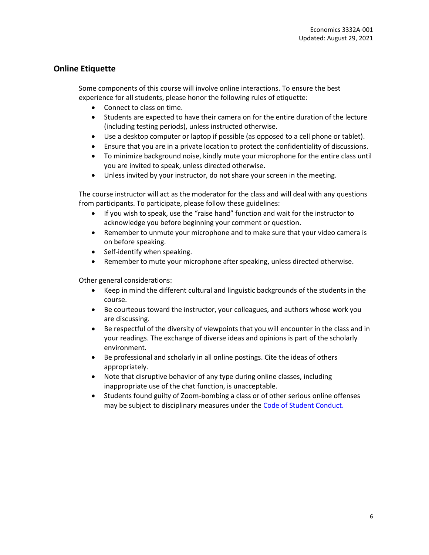# **Online Etiquette**

Some components of this course will involve online interactions. To ensure the best experience for all students, please honor the following rules of etiquette:

- Connect to class on time.
- Students are expected to have their camera on for the entire duration of the lecture (including testing periods), unless instructed otherwise.
- Use a desktop computer or laptop if possible (as opposed to a cell phone or tablet).
- Ensure that you are in a private location to protect the confidentiality of discussions.
- To minimize background noise, kindly mute your microphone for the entire class until you are invited to speak, unless directed otherwise.
- Unless invited by your instructor, do not share your screen in the meeting.

The course instructor will act as the moderator for the class and will deal with any questions from participants. To participate, please follow these guidelines:

- If you wish to speak, use the "raise hand" function and wait for the instructor to acknowledge you before beginning your comment or question.
- Remember to unmute your microphone and to make sure that your video camera is on before speaking.
- Self-identify when speaking.
- Remember to mute your microphone after speaking, unless directed otherwise.

Other general considerations:

- Keep in mind the different cultural and linguistic backgrounds of the students in the course.
- Be courteous toward the instructor, your colleagues, and authors whose work you are discussing.
- Be respectful of the diversity of viewpoints that you will encounter in the class and in your readings. The exchange of diverse ideas and opinions is part of the scholarly environment.
- Be professional and scholarly in all online postings. Cite the ideas of others appropriately.
- Note that disruptive behavior of any type during online classes, including inappropriate use of the chat function, is unacceptable.
- Students found guilty of Zoom-bombing a class or of other serious online offenses may be subject to disciplinary measures under the [Code of Student Conduct.](https://www.uwo.ca/univsec/pdf/board/code.pdf)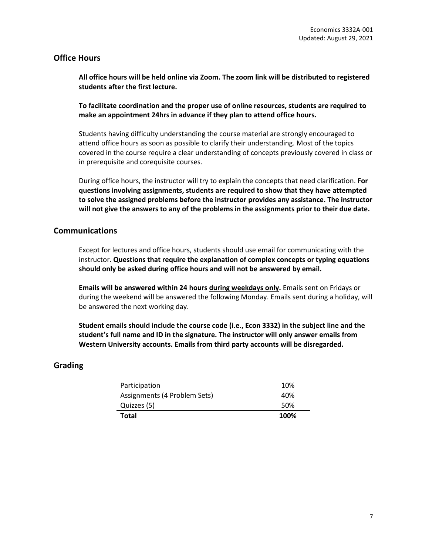# **Office Hours**

**All office hours will be held online via Zoom. The zoom link will be distributed to registered students after the first lecture.** 

**To facilitate coordination and the proper use of online resources, students are required to make an appointment 24hrs in advance if they plan to attend office hours.**

Students having difficulty understanding the course material are strongly encouraged to attend office hours as soon as possible to clarify their understanding. Most of the topics covered in the course require a clear understanding of concepts previously covered in class or in prerequisite and corequisite courses.

During office hours, the instructor will try to explain the concepts that need clarification. **For questions involving assignments, students are required to show that they have attempted to solve the assigned problems before the instructor provides any assistance. The instructor will not give the answers to any of the problems in the assignments prior to their due date.**

# **Communications**

Except for lectures and office hours, students should use email for communicating with the instructor. **Questions that require the explanation of complex concepts or typing equations should only be asked during office hours and will not be answered by email.**

**Emails will be answered within 24 hours during weekdays only.** Emails sent on Fridays or during the weekend will be answered the following Monday. Emails sent during a holiday, will be answered the next working day.

**Student emails should include the course code (i.e., Econ 3332) in the subject line and the student's full name and ID in the signature. The instructor will only answer emails from Western University accounts. Emails from third party accounts will be disregarded.**

# <span id="page-6-0"></span>**Grading**

| Participation                | 10%  |
|------------------------------|------|
| Assignments (4 Problem Sets) | 40%  |
| Quizzes (5)                  | 50%  |
| <b>Total</b>                 | 100% |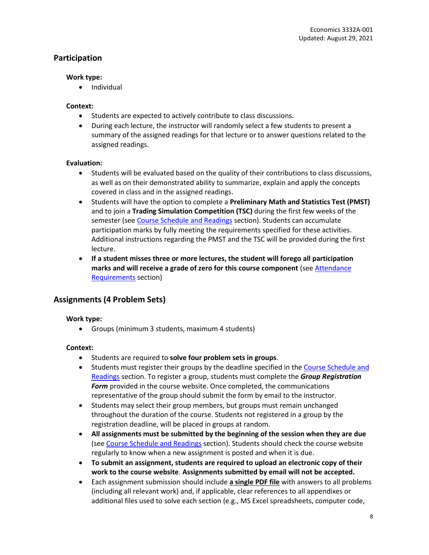# **Participation**

#### **Work type:**

• Individual

#### **Context:**

- Students are expected to actively contribute to class discussions.
- During each lecture, the instructor will randomly select a few students to present a summary of the assigned readings for that lecture or to answer questions related to the assigned readings.

#### **Evaluation:**

- Students will be evaluated based on the quality of their contributions to class discussions, as well as on their demonstrated ability to summarize, explain and apply the concepts covered in class and in the assigned readings.
- Students will have the option to complete a **Preliminary Math and Statistics Test (PMST)**  and to join a **Trading Simulation Competition (TSC)** during the first few weeks of the semester (se[e Course Schedule and Readings](#page-12-0) section). Students can accumulate participation marks by fully meeting the requirements specified for these activities. Additional instructions regarding the PMST and the TSC will be provided during the first lecture.
- **If a student misses three or more lectures, the student will forego all participation marks and will receive a grade of zero for this course component** (se[e Attendance](#page-4-1)  [Requirements](#page-4-1) section)

# **Assignments (4 Problem Sets)**

#### **Work type:**

• Groups (minimum 3 students, maximum 4 students)

#### **Context:**

- Students are required to **solve four problem sets in groups**.
- Students must register their groups by the deadline specified in the [Course Schedule and](#page-12-0)  [Readings](#page-12-0) section. To register a group, students must complete the *Group Registration Form* provided in the course website. Once completed, the communications representative of the group should submit the form by email to the instructor.
- Students may select their group members, but groups must remain unchanged throughout the duration of the course. Students not registered in a group by the registration deadline, will be placed in groups at random.
- **All assignments must be submitted by the beginning of the session when they are due** (se[e Course Schedule and Readings](#page-12-0) section). Students should check the course website regularly to know when a new assignment is posted and when it is due.
- **To submit an assignment, students are required to upload an electronic copy of their work to the course website**. **Assignments submitted by email will not be accepted.**
- Each assignment submission should include **a single PDF file** with answers to all problems (including all relevant work) and, if applicable, clear references to all appendixes or additional files used to solve each section (e.g., MS Excel spreadsheets, computer code,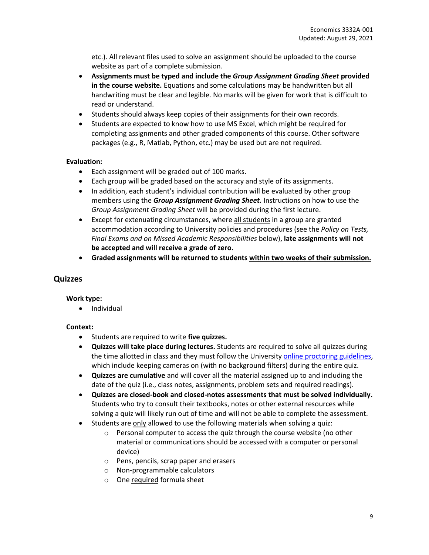etc.). All relevant files used to solve an assignment should be uploaded to the course website as part of a complete submission.

- **Assignments must be typed and include the** *Group Assignment Grading Sheet* **provided in the course website.** Equations and some calculations may be handwritten but all handwriting must be clear and legible. No marks will be given for work that is difficult to read or understand.
- Students should always keep copies of their assignments for their own records.
- Students are expected to know how to use MS Excel, which might be required for completing assignments and other graded components of this course. Other software packages (e.g., R, Matlab, Python, etc.) may be used but are not required.

#### **Evaluation:**

- Each assignment will be graded out of 100 marks.
- Each group will be graded based on the accuracy and style of its assignments.
- In addition, each student's individual contribution will be evaluated by other group members using the *Group Assignment Grading Sheet.* Instructions on how to use the *Group Assignment Grading Sheet* will be provided during the first lecture.
- Except for extenuating circumstances, where all students in a group are granted accommodation according to University policies and procedures (see the *Policy on Tests, Final Exams and on Missed Academic Responsibilities* below), **late assignments will not be accepted and will receive a grade of zero.**
- **Graded assignments will be returned to students within two weeks of their submission.**

#### **Quizzes**

#### **Work type:**

• Individual

#### **Context:**

- Students are required to write **five quizzes.**
- **Quizzes will take place during lectures.** Students are required to solve all quizzes during the time allotted in class and they must follow the Universit[y online proctoring guidelines,](https://www.uwo.ca/univsec/pdf/onlineproctorguidelines.pdf) which include keeping cameras on (with no background filters) during the entire quiz.
- **Quizzes are cumulative** and will cover all the material assigned up to and including the date of the quiz (i.e., class notes, assignments, problem sets and required readings).
- **Quizzes are closed-book and closed-notes assessments that must be solved individually.** Students who try to consult their textbooks, notes or other external resources while solving a quiz will likely run out of time and will not be able to complete the assessment.
- Students are only allowed to use the following materials when solving a quiz:
	- $\circ$  Personal computer to access the quiz through the course website (no other material or communications should be accessed with a computer or personal device)
	- o Pens, pencils, scrap paper and erasers
	- o Non-programmable calculators
	- o One required formula sheet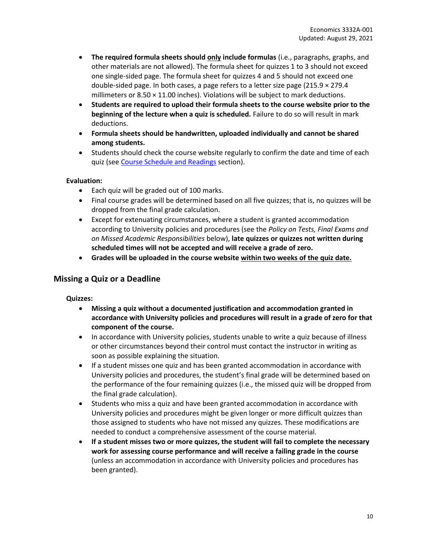- **The required formula sheets should only include formulas** (i.e., paragraphs, graphs, and other materials are not allowed). The formula sheet for quizzes 1 to 3 should not exceed one single-sided page. The formula sheet for quizzes 4 and 5 should not exceed one double-sided page. In both cases, a page refers to a letter size page  $(215.9 \times 279.4$ millimeters or  $8.50 \times 11.00$  inches). Violations will be subject to mark deductions.
- **Students are required to upload their formula sheets to the course website prior to the beginning of the lecture when a quiz is scheduled.** Failure to do so will result in mark deductions.
- **Formula sheets should be handwritten, uploaded individually and cannot be shared among students.**
- Students should check the course website regularly to confirm the date and time of each quiz (se[e Course Schedule and Readings](#page-12-0) section).

#### **Evaluation:**

- Each quiz will be graded out of 100 marks.
- Final course grades will be determined based on all five quizzes; that is, no quizzes will be dropped from the final grade calculation.
- Except for extenuating circumstances, where a student is granted accommodation according to University policies and procedures (see the *Policy on Tests, Final Exams and on Missed Academic Responsibilities* below), **late quizzes or quizzes not written during scheduled times will not be accepted and will receive a grade of zero.**
- **Grades will be uploaded in the course website within two weeks of the quiz date.**

# **Missing a Quiz or a Deadline**

#### **Quizzes:**

- **Missing a quiz without a documented justification and accommodation granted in accordance with University policies and procedures will result in a grade of zero for that component of the course.**
- In accordance with University policies, students unable to write a quiz because of illness or other circumstances beyond their control must contact the instructor in writing as soon as possible explaining the situation.
- If a student misses one quiz and has been granted accommodation in accordance with University policies and procedures, the student's final grade will be determined based on the performance of the four remaining quizzes (i.e., the missed quiz will be dropped from the final grade calculation).
- Students who miss a quiz and have been granted accommodation in accordance with University policies and procedures might be given longer or more difficult quizzes than those assigned to students who have not missed any quizzes. These modifications are needed to conduct a comprehensive assessment of the course material.
- **If a student misses two or more quizzes, the student will fail to complete the necessary work for assessing course performance and will receive a failing grade in the course** (unless an accommodation in accordance with University policies and procedures has been granted).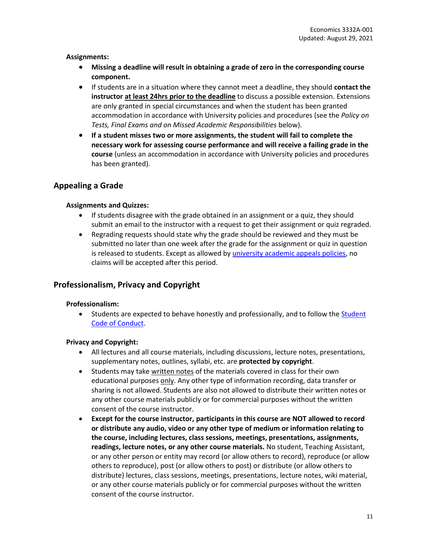#### **Assignments:**

- **Missing a deadline will result in obtaining a grade of zero in the corresponding course component.**
- If students are in a situation where they cannot meet a deadline, they should **contact the instructor at least 24hrs prior to the deadline** to discuss a possible extension. Extensions are only granted in special circumstances and when the student has been granted accommodation in accordance with University policies and procedures (see the *Policy on Tests, Final Exams and on Missed Academic Responsibilities* below).
- **If a student misses two or more assignments, the student will fail to complete the necessary work for assessing course performance and will receive a failing grade in the course** (unless an accommodation in accordance with University policies and procedures has been granted).

# **Appealing a Grade**

#### **Assignments and Quizzes:**

- If students disagree with the grade obtained in an assignment or a quiz, they should submit an email to the instructor with a request to get their assignment or quiz regraded.
- Regrading requests should state why the grade should be reviewed and they must be submitted no later than one week after the grade for the assignment or quiz in question is released to students. Except as allowed b[y university academic appeals policies,](https://www.uwo.ca/univsec/pdf/academic_policies/appeals/appealsundergrad.pdf) no claims will be accepted after this period.

# <span id="page-10-0"></span>**Professionalism, Privacy and Copyright**

#### **Professionalism:**

• Students are expected to behave honestly and professionally, and to follow the [Student](https://www.uwo.ca/univsec/pdf/board/code.pdf)  [Code of Conduct.](https://www.uwo.ca/univsec/pdf/board/code.pdf)

#### **Privacy and Copyright:**

- All lectures and all course materials, including discussions, lecture notes, presentations, supplementary notes, outlines, syllabi, etc. are **protected by copyright**.
- Students may take written notes of the materials covered in class for their own educational purposes only. Any other type of information recording, data transfer or sharing is not allowed. Students are also not allowed to distribute their written notes or any other course materials publicly or for commercial purposes without the written consent of the course instructor.
- **Except for the course instructor, participants in this course are NOT allowed to record or distribute any audio, video or any other type of medium or information relating to the course, including lectures, class sessions, meetings, presentations, assignments, readings, lecture notes, or any other course materials.** No student, Teaching Assistant, or any other person or entity may record (or allow others to record), reproduce (or allow others to reproduce), post (or allow others to post) or distribute (or allow others to distribute) lectures, class sessions, meetings, presentations, lecture notes, wiki material, or any other course materials publicly or for commercial purposes without the written consent of the course instructor.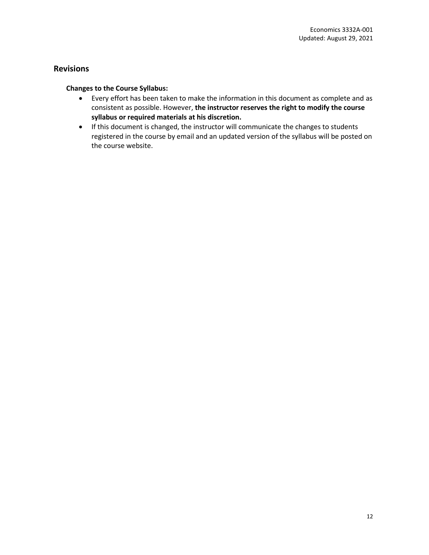# **Revisions**

### **Changes to the Course Syllabus:**

- Every effort has been taken to make the information in this document as complete and as consistent as possible. However, **the instructor reserves the right to modify the course syllabus or required materials at his discretion.**
- If this document is changed, the instructor will communicate the changes to students registered in the course by email and an updated version of the syllabus will be posted on the course website.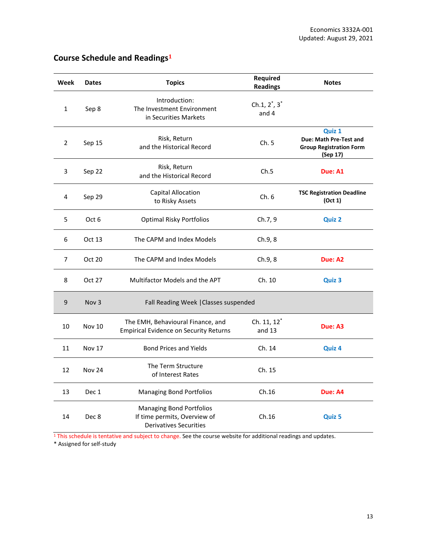| Week           | <b>Dates</b>     | <b>Topics</b>                                                                                    | Required<br><b>Readings</b>  | <b>Notes</b>                                                                   |
|----------------|------------------|--------------------------------------------------------------------------------------------------|------------------------------|--------------------------------------------------------------------------------|
| $\mathbf{1}$   | Sep 8            | Introduction:<br>The Investment Environment<br>in Securities Markets                             | Ch.1, $2^*$ , $3^*$<br>and 4 |                                                                                |
| 2              | Sep 15           | Risk, Return<br>and the Historical Record                                                        | Ch.5                         | Quiz 1<br>Due: Math Pre-Test and<br><b>Group Registration Form</b><br>(Sep 17) |
| 3              | Sep 22           | Risk, Return<br>and the Historical Record                                                        | Ch.5                         | Due: A1                                                                        |
| 4              | Sep 29           | Capital Allocation<br>to Risky Assets                                                            | Ch.6                         | <b>TSC Registration Deadline</b><br>(Oct 1)                                    |
| 5              | Oct 6            | <b>Optimal Risky Portfolios</b>                                                                  | Ch.7, 9                      | <b>Quiz 2</b>                                                                  |
| 6              | Oct 13           | The CAPM and Index Models                                                                        | Ch.9, 8                      |                                                                                |
| $\overline{7}$ | Oct 20           | The CAPM and Index Models                                                                        | Ch.9, 8                      | Due: A2                                                                        |
| 8              | Oct 27           | Multifactor Models and the APT                                                                   | Ch. 10                       | Quiz 3                                                                         |
| 9              | Nov <sub>3</sub> | Fall Reading Week   Classes suspended                                                            |                              |                                                                                |
| 10             | <b>Nov 10</b>    | The EMH, Behavioural Finance, and<br><b>Empirical Evidence on Security Returns</b>               | Ch. 11, 12*<br>and $13$      | Due: A3                                                                        |
| 11             | <b>Nov 17</b>    | <b>Bond Prices and Yields</b>                                                                    | Ch. 14                       | Quiz 4                                                                         |
| 12             | <b>Nov 24</b>    | The Term Structure<br>of Interest Rates                                                          | Ch. 15                       |                                                                                |
| 13             | Dec 1            | <b>Managing Bond Portfolios</b>                                                                  | Ch.16                        | Due: A4                                                                        |
| 14             | Dec 8            | <b>Managing Bond Portfolios</b><br>If time permits, Overview of<br><b>Derivatives Securities</b> | Ch.16                        | Quiz 5                                                                         |

# <span id="page-12-0"></span>**Course Schedule and Readings<sup>1</sup>**

<sup>1</sup> This schedule is tentative and subject to change. See the course website for additional readings and updates.

\* Assigned for self-study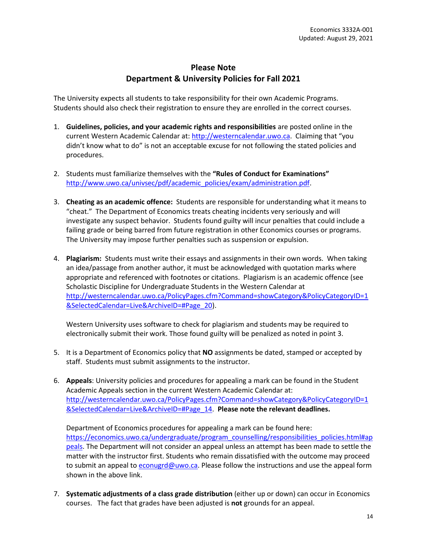# **Please Note Department & University Policies for Fall 2021**

The University expects all students to take responsibility for their own Academic Programs. Students should also check their registration to ensure they are enrolled in the correct courses.

- 1. **Guidelines, policies, and your academic rights and responsibilities** are posted online in the current Western Academic Calendar at[: http://westerncalendar.uwo.ca](http://westerncalendar.uwo.ca/). Claiming that "you didn't know what to do" is not an acceptable excuse for not following the stated policies and procedures.
- 2. Students must familiarize themselves with the **"Rules of Conduct for Examinations"** [http://www.uwo.ca/univsec/pdf/academic\\_policies/exam/administration.pdf.](http://www.uwo.ca/univsec/pdf/academic_policies/exam/administration.pdf)
- 3. **Cheating as an academic offence:** Students are responsible for understanding what it means to "cheat." The Department of Economics treats cheating incidents very seriously and will investigate any suspect behavior. Students found guilty will incur penalties that could include a failing grade or being barred from future registration in other Economics courses or programs. The University may impose further penalties such as suspension or expulsion.
- 4. **Plagiarism:** Students must write their essays and assignments in their own words. When taking an idea/passage from another author, it must be acknowledged with quotation marks where appropriate and referenced with footnotes or citations. Plagiarism is an academic offence (see Scholastic Discipline for Undergraduate Students in the Western Calendar at [http://westerncalendar.uwo.ca/PolicyPages.cfm?Command=showCategory&PolicyCategoryID=1](http://westerncalendar.uwo.ca/PolicyPages.cfm?Command=showCategory&PolicyCategoryID=1&SelectedCalendar=Live&ArchiveID=#Page_20) [&SelectedCalendar=Live&ArchiveID=#Page\\_20\)](http://westerncalendar.uwo.ca/PolicyPages.cfm?Command=showCategory&PolicyCategoryID=1&SelectedCalendar=Live&ArchiveID=#Page_20).

Western University uses software to check for plagiarism and students may be required to electronically submit their work. Those found guilty will be penalized as noted in point 3.

- 5. It is a Department of Economics policy that **NO** assignments be dated, stamped or accepted by staff. Students must submit assignments to the instructor.
- 6. **Appeals**: University policies and procedures for appealing a mark can be found in the Student Academic Appeals section in the current Western Academic Calendar at: [http://westerncalendar.uwo.ca/PolicyPages.cfm?Command=showCategory&PolicyCategoryID=1](http://westerncalendar.uwo.ca/PolicyPages.cfm?Command=showCategory&PolicyCategoryID=1&SelectedCalendar=Live&ArchiveID=#Page_14) [&SelectedCalendar=Live&ArchiveID=#Page\\_14.](http://westerncalendar.uwo.ca/PolicyPages.cfm?Command=showCategory&PolicyCategoryID=1&SelectedCalendar=Live&ArchiveID=#Page_14) **Please note the relevant deadlines.**

Department of Economics procedures for appealing a mark can be found here: [https://economics.uwo.ca/undergraduate/program\\_counselling/responsibilities\\_policies.html#ap](https://economics.uwo.ca/undergraduate/program_counselling/responsibilities_policies.html#appeals) [peals.](https://economics.uwo.ca/undergraduate/program_counselling/responsibilities_policies.html#appeals) The Department will not consider an appeal unless an attempt has been made to settle the matter with the instructor first. Students who remain dissatisfied with the outcome may proceed to submit an appeal to [econugrd@uwo.ca.](mailto:econugrd@uwo.ca) Please follow the instructions and use the appeal form shown in the above link.

7. **Systematic adjustments of a class grade distribution** (either up or down) can occur in Economics courses. The fact that grades have been adjusted is **not** grounds for an appeal.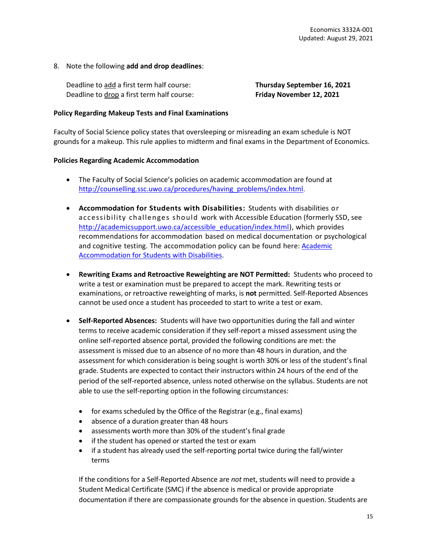#### 8. Note the following **add and drop deadlines**:

Deadline to add a first term half course: **Thursday September 16, 2021** Deadline to drop a first term half course: **Friday November 12, 2021**

#### **Policy Regarding Makeup Tests and Final Examinations**

Faculty of Social Science policy states that oversleeping or misreading an exam schedule is NOT grounds for a makeup. This rule applies to midterm and final exams in the Department of Economics.

#### **Policies Regarding Academic Accommodation**

- The Faculty of Social Science's policies on academic accommodation are found at [http://counselling.ssc.uwo.ca/procedures/having\\_problems/index.html.](http://counselling.ssc.uwo.ca/procedures/having_problems/index.html)
- **Accommodation for Students with Disabilities:** Students with disabilities or accessibility challenges sho uld work with Accessible Education (formerly SSD, see [http://academicsupport.uwo.ca/accessible\\_education/index.html\)](http://academicsupport.uwo.ca/accessible_education/index.html), which provides recommendations for accommodation based on medical documentation or psychological and cognitive testing. The accommodation policy can be found here: **Academic** [Accommodation for Students with Disabilities.](https://www.uwo.ca/univsec/pdf/academic_policies/appeals/Academic%20Accommodation_disabilities.pdf)
- **Rewriting Exams and Retroactive Reweighting are NOT Permitted:** Students who proceed to write a test or examination must be prepared to accept the mark. Rewriting tests or examinations, or retroactive reweighting of marks, is **not** permitted. Self-Reported Absences cannot be used once a student has proceeded to start to write a test or exam.
- **Self-Reported Absences:** Students will have two opportunities during the fall and winter terms to receive academic consideration if they self-report a missed assessment using the online self-reported absence portal, provided the following conditions are met: the assessment is missed due to an absence of no more than 48 hours in duration, and the assessment for which consideration is being sought is worth 30% or less of the student's final grade. Students are expected to contact their instructors within 24 hours of the end of the period of the self-reported absence, unless noted otherwise on the syllabus. Students are not able to use the self-reporting option in the following circumstances:
	- for exams scheduled by the Office of the Registrar (e.g., final exams)
	- absence of a duration greater than 48 hours
	- assessments worth more than 30% of the student's final grade
	- if the student has opened or started the test or exam
	- if a student has already used the self-reporting portal twice during the fall/winter terms

If the conditions for a Self-Reported Absence are *not* met, students will need to provide a Student Medical Certificate (SMC) if the absence is medical or provide appropriate documentation if there are compassionate grounds for the absence in question. Students are